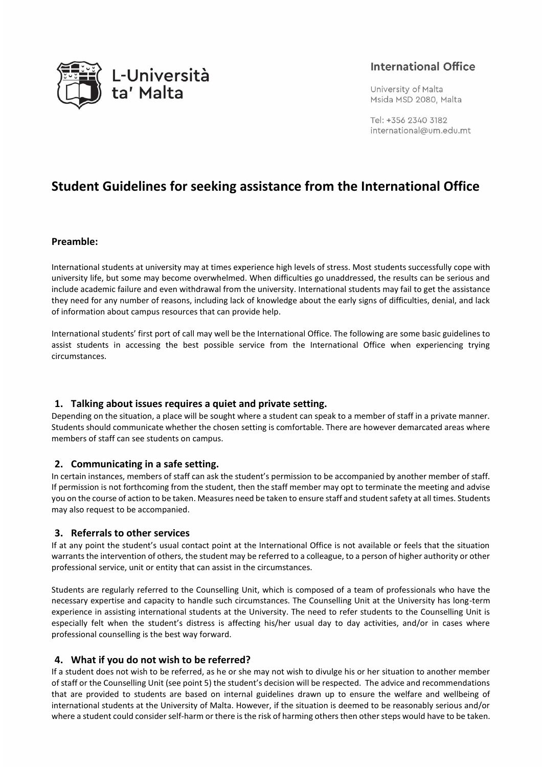

## **International Office**

University of Malta Msida MSD 2080, Malta

Tel: +356 2340 3182 international@um.edu.mt

# **Student Guidelines for seeking assistance from the International Office**

#### **Preamble:**

International students at university may at times experience high levels of stress. Most students successfully cope with university life, but some may become overwhelmed. When difficulties go unaddressed, the results can be serious and include academic failure and even withdrawal from the university. International students may fail to get the assistance they need for any number of reasons, including lack of knowledge about the early signs of difficulties, denial, and lack of information about campus resources that can provide help.

International students' first port of call may well be the International Office. The following are some basic guidelines to assist students in accessing the best possible service from the International Office when experiencing trying circumstances.

#### **1. Talking about issues requires a quiet and private setting.**

Depending on the situation, a place will be sought where a student can speak to a member of staff in a private manner. Students should communicate whether the chosen setting is comfortable. There are however demarcated areas where members of staff can see students on campus.

#### **2. Communicating in a safe setting.**

In certain instances, members of staff can ask the student's permission to be accompanied by another member of staff. If permission is not forthcoming from the student, then the staff member may opt to terminate the meeting and advise you on the course of action to be taken. Measures need be taken to ensure staff and student safety at all times. Students may also request to be accompanied.

#### **3. Referrals to other services**

If at any point the student's usual contact point at the International Office is not available or feels that the situation warrants the intervention of others, the student may be referred to a colleague, to a person of higher authority or other professional service, unit or entity that can assist in the circumstances.

Students are regularly referred to the Counselling Unit, which is composed of a team of professionals who have the necessary expertise and capacity to handle such circumstances. The Counselling Unit at the University has long-term experience in assisting international students at the University. The need to refer students to the Counselling Unit is especially felt when the student's distress is affecting his/her usual day to day activities, and/or in cases where professional counselling is the best way forward.

#### **4. What if you do not wish to be referred?**

If a student does not wish to be referred, as he or she may not wish to divulge his or her situation to another member of staff or the Counselling Unit (see point 5) the student's decision will be respected. The advice and recommendations that are provided to students are based on internal guidelines drawn up to ensure the welfare and wellbeing of international students at the University of Malta. However, if the situation is deemed to be reasonably serious and/or where a student could consider self-harm or there is the risk of harming others then other steps would have to be taken.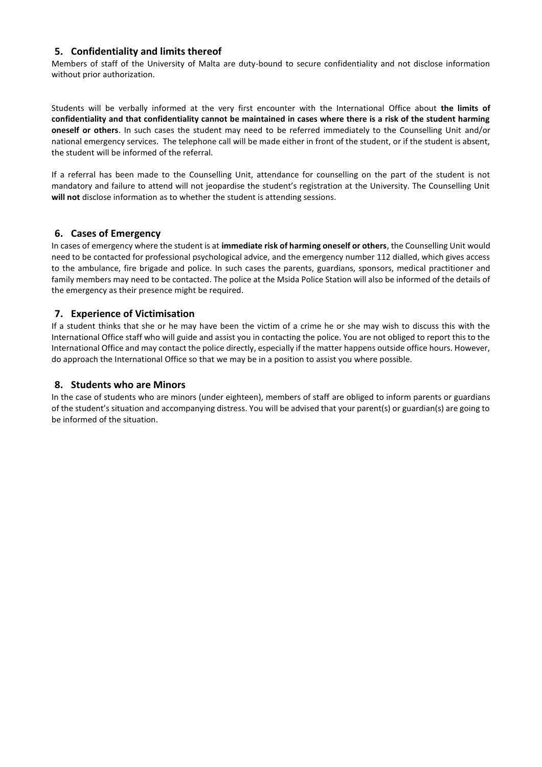#### **5. Confidentiality and limits thereof**

 Members of staff of the University of Malta are duty-bound to secure confidentiality and not disclose information without prior authorization.

Students will be verbally informed at the very first encounter with the International Office about **the limits of confidentiality and that confidentiality cannot be maintained in cases where there is a risk of the student harming oneself or others**. In such cases the student may need to be referred immediately to the Counselling Unit and/or national emergency services. The telephone call will be made either in front of the student, or if the student is absent, the student will be informed of the referral.

If a referral has been made to the Counselling Unit, attendance for counselling on the part of the student is not mandatory and failure to attend will not jeopardise the student's registration at the University. The Counselling Unit **will not** disclose information as to whether the student is attending sessions.

#### **6. Cases of Emergency**

In cases of emergency where the student is at **immediate risk of harming oneself or others**, the Counselling Unit would need to be contacted for professional psychological advice, and the emergency number 112 dialled, which gives access to the ambulance, fire brigade and police. In such cases the parents, guardians, sponsors, medical practitioner and family members may need to be contacted. The police at the Msida Police Station will also be informed of the details of the emergency as their presence might be required.

#### **7. Experience of Victimisation**

If a student thinks that she or he may have been the victim of a crime he or she may wish to discuss this with the International Office staff who will guide and assist you in contacting the police. You are not obliged to report this to the International Office and may contact the police directly, especially if the matter happens outside office hours. However, do approach the International Office so that we may be in a position to assist you where possible.

#### **8. Students who are Minors**

In the case of students who are minors (under eighteen), members of staff are obliged to inform parents or guardians of the student's situation and accompanying distress. You will be advised that your parent(s) or guardian(s) are going to be informed of the situation.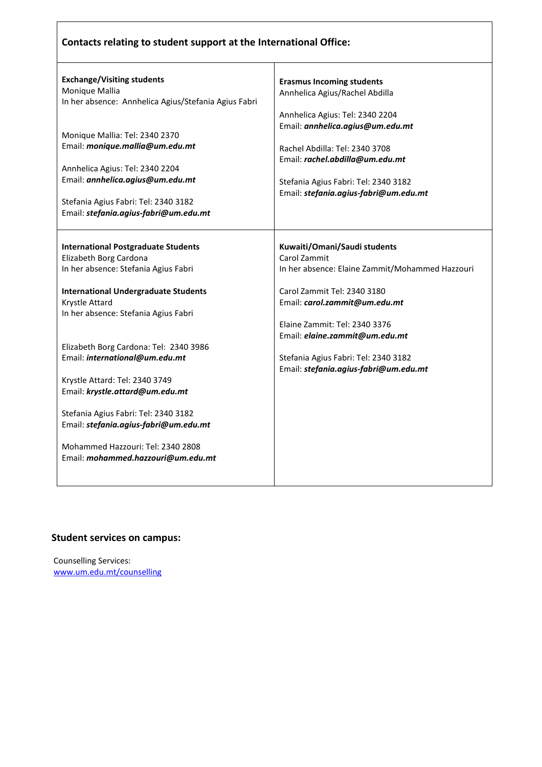|  | Contacts relating to student support at the International Office: |  |
|--|-------------------------------------------------------------------|--|
|--|-------------------------------------------------------------------|--|

| <b>Exchange/Visiting students</b>                    |                                                 |
|------------------------------------------------------|-------------------------------------------------|
| Monique Mallia                                       | <b>Erasmus Incoming students</b>                |
|                                                      | Annhelica Agius/Rachel Abdilla                  |
| In her absence: Annhelica Agius/Stefania Agius Fabri |                                                 |
|                                                      | Annhelica Agius: Tel: 2340 2204                 |
| Monique Mallia: Tel: 2340 2370                       | Email: annhelica.agius@um.edu.mt                |
|                                                      |                                                 |
| Email: monique.mallia@um.edu.mt                      | Rachel Abdilla: Tel: 2340 3708                  |
|                                                      | Email: rachel.abdilla@um.edu.mt                 |
| Annhelica Agius: Tel: 2340 2204                      |                                                 |
| Email: annhelica.agius@um.edu.mt                     | Stefania Agius Fabri: Tel: 2340 3182            |
|                                                      | Email: stefania.agius-fabri@um.edu.mt           |
| Stefania Agius Fabri: Tel: 2340 3182                 |                                                 |
| Email: stefania.agius-fabri@um.edu.mt                |                                                 |
|                                                      |                                                 |
| <b>International Postgraduate Students</b>           | Kuwaiti/Omani/Saudi students                    |
|                                                      |                                                 |
| Elizabeth Borg Cardona                               | Carol Zammit                                    |
| In her absence: Stefania Agius Fabri                 | In her absence: Elaine Zammit/Mohammed Hazzouri |
| <b>International Undergraduate Students</b>          | Carol Zammit Tel: 2340 3180                     |
| Krystle Attard                                       | Email: carol.zammit@um.edu.mt                   |
| In her absence: Stefania Agius Fabri                 |                                                 |
|                                                      | Elaine Zammit: Tel: 2340 3376                   |
|                                                      | Email: elaine.zammit@um.edu.mt                  |
| Elizabeth Borg Cardona: Tel: 2340 3986               |                                                 |
| Email: international@um.edu.mt                       | Stefania Agius Fabri: Tel: 2340 3182            |
|                                                      |                                                 |
|                                                      | Email: stefania.agius-fabri@um.edu.mt           |
| Krystle Attard: Tel: 2340 3749                       |                                                 |
| Email: krystle.attard@um.edu.mt                      |                                                 |
| Stefania Agius Fabri: Tel: 2340 3182                 |                                                 |
| Email: stefania.agius-fabri@um.edu.mt                |                                                 |
|                                                      |                                                 |
| Mohammed Hazzouri: Tel: 2340 2808                    |                                                 |
| Email: mohammed.hazzouri@um.edu.mt                   |                                                 |
|                                                      |                                                 |
|                                                      |                                                 |
|                                                      |                                                 |

### **Student services on campus:**

Counselling Services: [www.um.edu.mt/counselling](http://www.um.edu.mt/counselling)